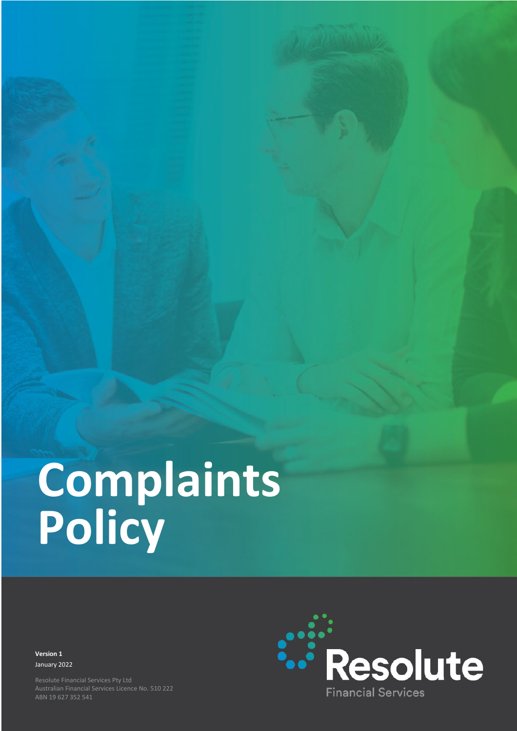# **Complaints Policy**

**Version 1 Version 1** January 2022 January 2022

Australian Financial Services Licence No. 510 222 Australian Financial Services Licence No. 510 222 ABN 19 627 352 541 ABN 19 627 352 541

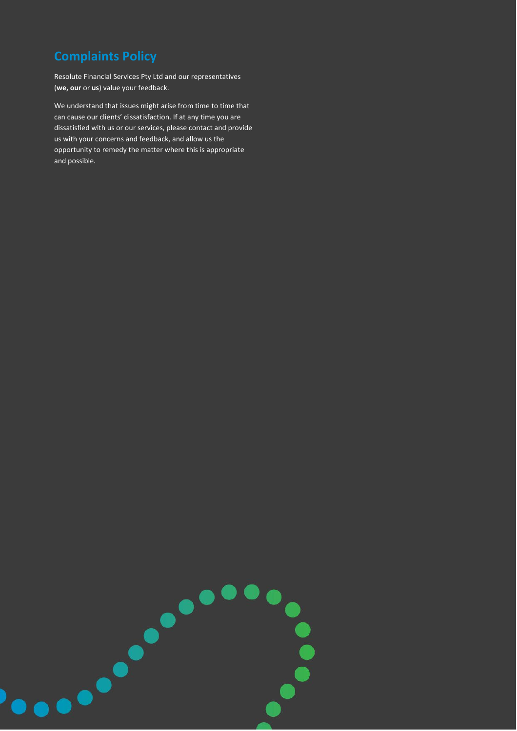# **Complaints Policy**

Resolute Financial Services Pty Ltd and our representatives (**we, our** or **us**) value your feedback.

We understand that issues might arise from time to time that can cause our clients' dissatisfaction. If at any time you are dissatisfied with us or our services, please contact and provide us with your concerns and feedback, and allow us the opportunity to remedy the matter where this is appropriate and possible.

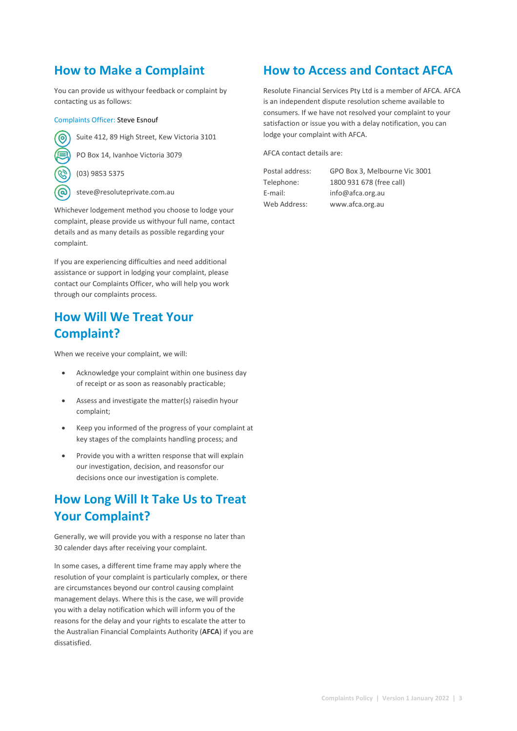## **How to Make a Complaint**

You can provide us withyour feedback or complaint by contacting us as follows:

#### Complaints Officer: Steve Esnouf



Suite 412, 89 High Street, Kew Victoria 3101

PO Box 14, Ivanhoe Victoria 3079

(03) 9853 5375

steve@resoluteprivate.com.au

Whichever lodgement method you choose to lodge your complaint, please provide us withyour full name, contact details and as many details as possible regarding your complaint.

If you are experiencing difficulties and need additional assistance or support in lodging your complaint, please contact our Complaints Officer, who will help you work through our complaints process.

## **How Will We Treat Your Complaint?**

When we receive your complaint, we will:

- Acknowledge your complaint within one business day of receipt or as soon as reasonably practicable;
- Assess and investigate the matter(s) raisedin hyour complaint;
- Keep you informed of the progress of your complaint at key stages of the complaints handling process; and
- Provide you with a written response that will explain our investigation, decision, and reasonsfor our decisions once our investigation is complete.

## **How Long Will It Take Us to Treat Your Complaint?**

Generally, we will provide you with a response no later than 30 calender days after receiving your complaint.

In some cases, a different time frame may apply where the resolution of your complaint is particularly complex, or there are circumstances beyond our control causing complaint management delays. Where this is the case, we will provide you with a delay notification which will inform you of the reasons for the delay and your rights to escalate the atter to the Australian Financial Complaints Authority (**AFCA**) if you are dissatisfied.

### **How to Access and Contact AFCA**

Resolute Financial Services Pty Ltd is a member of AFCA. AFCA is an independent dispute resolution scheme available to consumers. If we have not resolved your complaint to your satisfaction or issue you with a delay notification, you can lodge your complaint with AFCA.

AFCA contact details are:

Postal address: GPO Box 3, Melbourne Vic 3001 Telephone: 1800 931 678 (free call) E-mail: info@afca.org.au Web Address: www.afca.org.au